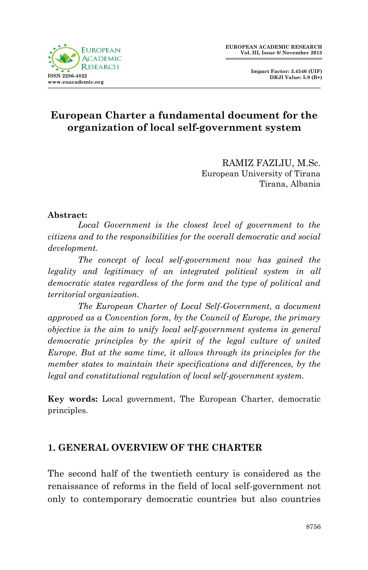



# **European Charter a fundamental document for the organization of local self-government system**

RAMIZ FAZLIU, M.Sc. European University of Tirana Tirana, Albania

#### **Abstract:**

*Local Government is the closest level of government to the citizens and to the responsibilities for the overall democratic and social development.*

*The concept of local self-government now has gained the legality and legitimacy of an integrated political system in all democratic states regardless of the form and the type of political and territorial organization.*

*The European Charter of Local Self-Government, a document approved as a Convention form, by the Council of Europe, the primary objective is the aim to unify local self-government systems in general democratic principles by the spirit of the legal culture of united Europe. But at the same time, it allows through its principles for the member states to maintain their specifications and differences, by the legal and constitutional regulation of local self-government system.*

**Key words:** Local government, The European Charter, democratic principles.

#### **1. GENERAL OVERVIEW OF THE CHARTER**

The second half of the twentieth century is considered as the renaissance of reforms in the field of local self-government not only to contemporary democratic countries but also countries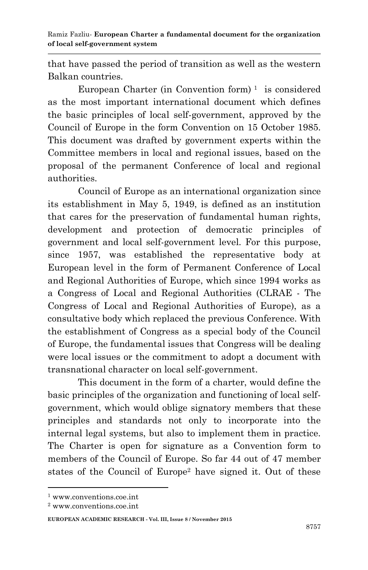Ramiz Fazliu*-* **European Charter a fundamental document for the organization of local self-government system**

that have passed the period of transition as well as the western Balkan countries.

European Charter (in Convention form)<sup> $1$ </sup> is considered as the most important international document which defines the basic principles of local self-government, approved by the Council of Europe in the form Convention on 15 October 1985. This document was drafted by government experts within the Committee members in local and regional issues, based on the proposal of the permanent Conference of local and regional authorities.

Council of Europe as an international organization since its establishment in May 5, 1949, is defined as an institution that cares for the preservation of fundamental human rights, development and protection of democratic principles of government and local self-government level. For this purpose, since 1957, was established the representative body at European level in the form of Permanent Conference of Local and Regional Authorities of Europe, which since 1994 works as a Congress of Local and Regional Authorities (CLRAE - The Congress of Local and Regional Authorities of Europe), as a consultative body which replaced the previous Conference. With the establishment of Congress as a special body of the Council of Europe, the fundamental issues that Congress will be dealing were local issues or the commitment to adopt a document with transnational character on local self-government.

This document in the form of a charter, would define the basic principles of the organization and functioning of local selfgovernment, which would oblige signatory members that these principles and standards not only to incorporate into the internal legal systems, but also to implement them in practice. The Charter is open for signature as a Convention form to members of the Council of Europe. So far 44 out of 47 member states of the Council of Europe<sup>2</sup> have signed it. Out of these

<sup>1</sup> www.conventions.coe.int

<sup>2</sup> www.conventions.coe.int

**EUROPEAN ACADEMIC RESEARCH - Vol. III, Issue 8 / November 2015**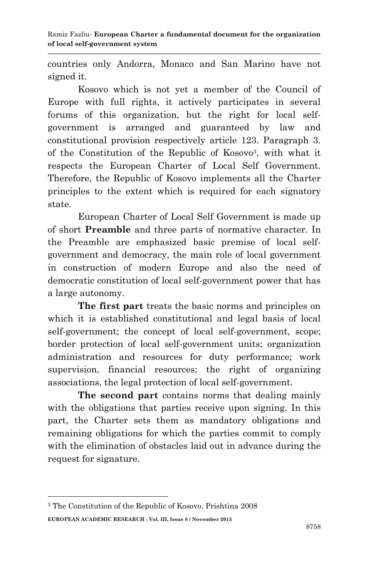countries only Andorra, Monaco and San Marino have not signed it.

Kosovo which is not yet a member of the Council of Europe with full rights, it actively participates in several forums of this organization, but the right for local selfgovernment is arranged and guaranteed by law and constitutional provision respectively article 123. Paragraph 3. of the Constitution of the Republic of Kosovo<sup>3</sup> , with what it respects the European Charter of Local Self Government. Therefore, the Republic of Kosovo implements all the Charter principles to the extent which is required for each signatory state.

European Charter of Local Self Government is made up of short **Preamble** and three parts of normative character. In the Preamble are emphasized basic premise of local selfgovernment and democracy, the main role of local government in construction of modern Europe and also the need of democratic constitution of local self-government power that has a large autonomy.

**The first part** treats the basic norms and principles on which it is established constitutional and legal basis of local self-government; the concept of local self-government, scope; border protection of local self-government units; organization administration and resources for duty performance; work supervision, financial resources; the right of organizing associations, the legal protection of local self-government.

**The second part** contains norms that dealing mainly with the obligations that parties receive upon signing. In this part, the Charter sets them as mandatory obligations and remaining obligations for which the parties commit to comply with the elimination of obstacles laid out in advance during the request for signature.

**EUROPEAN ACADEMIC RESEARCH - Vol. III, Issue 8 / November 2015** <sup>3</sup> The Constitution of the Republic of Kosovo, Prishtina 2008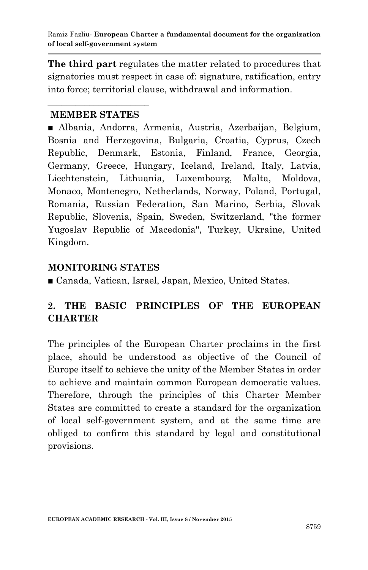**The third part** regulates the matter related to procedures that signatories must respect in case of: signature, ratification, entry into force; territorial clause, withdrawal and information.

#### $\overline{\phantom{a}}$  , where  $\overline{\phantom{a}}$  , where  $\overline{\phantom{a}}$  ,  $\overline{\phantom{a}}$  ,  $\overline{\phantom{a}}$  ,  $\overline{\phantom{a}}$  ,  $\overline{\phantom{a}}$  ,  $\overline{\phantom{a}}$  ,  $\overline{\phantom{a}}$  ,  $\overline{\phantom{a}}$  ,  $\overline{\phantom{a}}$  ,  $\overline{\phantom{a}}$  ,  $\overline{\phantom{a}}$  ,  $\overline{\phantom{a}}$  ,  $\overline{\phantom{a}}$  , **MEMBER STATES**

■ Albania, Andorra, Armenia, Austria, Azerbaijan, Belgium, Bosnia and Herzegovina, Bulgaria, Croatia, Cyprus, Czech Republic, Denmark, Estonia, Finland, France, Georgia, Germany, Greece, Hungary, Iceland, Ireland, Italy, Latvia, Liechtenstein, Lithuania, Luxembourg, Malta, Moldova, Monaco, Montenegro, Netherlands, Norway, Poland, Portugal, Romania, Russian Federation, San Marino, Serbia, Slovak Republic, Slovenia, Spain, Sweden, Switzerland, "the former Yugoslav Republic of Macedonia", Turkey, Ukraine, United Kingdom.

## **MONITORING STATES**

■ Canada, Vatican, Israel, Japan, Mexico, United States.

# **2. THE BASIC PRINCIPLES OF THE EUROPEAN CHARTER**

The principles of the European Charter proclaims in the first place, should be understood as objective of the Council of Europe itself to achieve the unity of the Member States in order to achieve and maintain common European democratic values. Therefore, through the principles of this Charter Member States are committed to create a standard for the organization of local self-government system, and at the same time are obliged to confirm this standard by legal and constitutional provisions.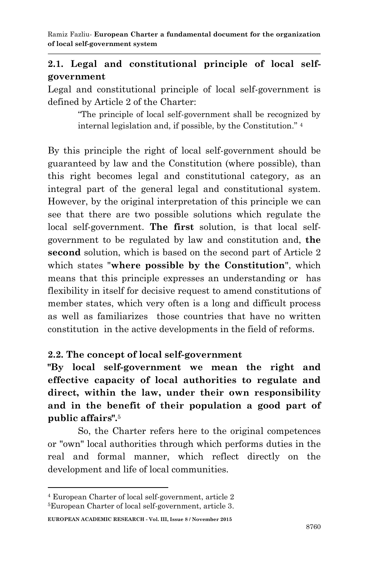## **2.1. Legal and constitutional principle of local selfgovernment**

Legal and constitutional principle of local self-government is defined by Article 2 of the Charter:

> "The principle of local self-government shall be recognized by internal legislation and, if possible, by the Constitution." 4

By this principle the right of local self-government should be guaranteed by law and the Constitution (where possible), than this right becomes legal and constitutional category, as an integral part of the general legal and constitutional system. However, by the original interpretation of this principle we can see that there are two possible solutions which regulate the local self-government. **The first** solution, is that local selfgovernment to be regulated by law and constitution and, **the second** solution, which is based on the second part of Article 2 which states "**where possible by the Constitution**", which means that this principle expresses an understanding or has flexibility in itself for decisive request to amend constitutions of member states, which very often is a long and difficult process as well as familiarizes those countries that have no written constitution in the active developments in the field of reforms.

#### **2.2. The concept of local self-government**

**"By local self-government we mean the right and effective capacity of local authorities to regulate and direct, within the law, under their own responsibility and in the benefit of their population a good part of public affairs".**<sup>5</sup>

So, the Charter refers here to the original competences or "own" local authorities through which performs duties in the real and formal manner, which reflect directly on the development and life of local communities.

<sup>4</sup> European Charter of local self-government, article 2 5European Charter of local self-government, article 3.

**EUROPEAN ACADEMIC RESEARCH - Vol. III, Issue 8 / November 2015**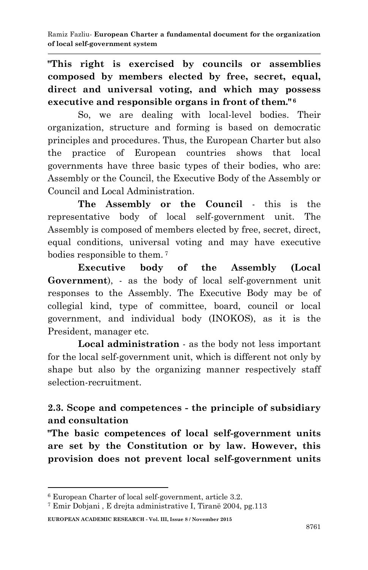**"This right is exercised by councils or assemblies composed by members elected by free, secret, equal, direct and universal voting, and which may possess executive and responsible organs in front of them." <sup>6</sup>**

So, we are dealing with local-level bodies. Their organization, structure and forming is based on democratic principles and procedures. Thus, the European Charter but also the practice of European countries shows that local governments have three basic types of their bodies, who are: Assembly or the Council, the Executive Body of the Assembly or Council and Local Administration.

**The Assembly or the Council** - this is the representative body of local self-government unit. The Assembly is composed of members elected by free, secret, direct, equal conditions, universal voting and may have executive bodies responsible to them. <sup>7</sup>

**Executive body of the Assembly (Local Government**), - as the body of local self-government unit responses to the Assembly. The Executive Body may be of collegial kind, type of committee, board, council or local government, and individual body (INOKOS), as it is the President, manager etc.

**Local administration** - as the body not less important for the local self-government unit, which is different not only by shape but also by the organizing manner respectively staff selection-recruitment.

# **2.3. Scope and competences - the principle of subsidiary and consultation**

**"The basic competences of local self-government units are set by the Constitution or by law. However, this provision does not prevent local self-government units** 

#### **EUROPEAN ACADEMIC RESEARCH - Vol. III, Issue 8 / November 2015**

<sup>6</sup> European Charter of local self-government, article 3.2.

<sup>7</sup> Emir Dobjani , E drejta administrative I, Tiranë 2004, pg.113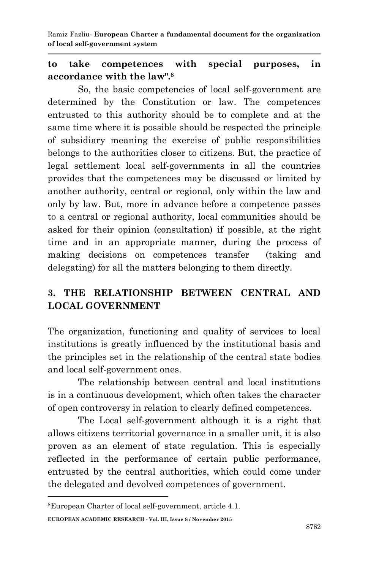Ramiz Fazliu*-* **European Charter a fundamental document for the organization of local self-government system**

### **to take competences with special purposes, in accordance with the law".<sup>8</sup>**

So, the basic competencies of local self-government are determined by the Constitution or law. The competences entrusted to this authority should be to complete and at the same time where it is possible should be respected the principle of subsidiary meaning the exercise of public responsibilities belongs to the authorities closer to citizens. But, the practice of legal settlement local self-governments in all the countries provides that the competences may be discussed or limited by another authority, central or regional, only within the law and only by law. But, more in advance before a competence passes to a central or regional authority, local communities should be asked for their opinion (consultation) if possible, at the right time and in an appropriate manner, during the process of making decisions on competences transfer (taking and delegating) for all the matters belonging to them directly.

# **3. THE RELATIONSHIP BETWEEN CENTRAL AND LOCAL GOVERNMENT**

The organization, functioning and quality of services to local institutions is greatly influenced by the institutional basis and the principles set in the relationship of the central state bodies and local self-government ones.

The relationship between central and local institutions is in a continuous development, which often takes the character of open controversy in relation to clearly defined competences.

The Local self-government although it is a right that allows citizens territorial governance in a smaller unit, it is also proven as an element of state regulation. This is especially reflected in the performance of certain public performance, entrusted by the central authorities, which could come under the delegated and devolved competences of government.

**EUROPEAN ACADEMIC RESEARCH - Vol. III, Issue 8 / November 2015**

<sup>8</sup>European Charter of local self-government, article 4.1.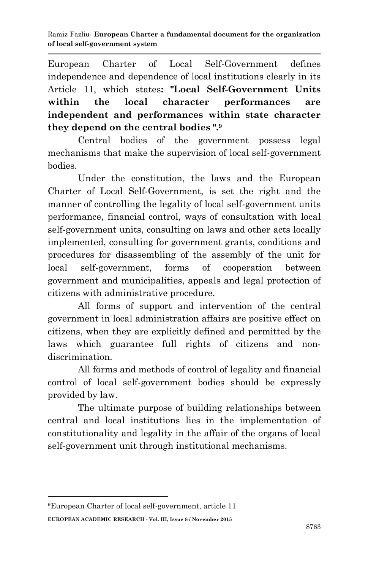European Charter of Local Self-Government defines independence and dependence of local institutions clearly in its Article 11, which states**: "Local Self-Government Units within the local character performances are independent and performances within state character they depend on the central bodies ".<sup>9</sup>**

Central bodies of the government possess legal mechanisms that make the supervision of local self-government bodies.

Under the constitution, the laws and the European Charter of Local Self-Government, is set the right and the manner of controlling the legality of local self-government units performance, financial control, ways of consultation with local self-government units, consulting on laws and other acts locally implemented, consulting for government grants, conditions and procedures for disassembling of the assembly of the unit for local self-government, forms of cooperation between government and municipalities, appeals and legal protection of citizens with administrative procedure.

All forms of support and intervention of the central government in local administration affairs are positive effect on citizens, when they are explicitly defined and permitted by the laws which guarantee full rights of citizens and nondiscrimination.

All forms and methods of control of legality and financial control of local self-government bodies should be expressly provided by law.

The ultimate purpose of building relationships between central and local institutions lies in the implementation of constitutionality and legality in the affair of the organs of local self-government unit through institutional mechanisms.

**EUROPEAN ACADEMIC RESEARCH - Vol. III, Issue 8 / November 2015 .** 9European Charter of local self-government, article 11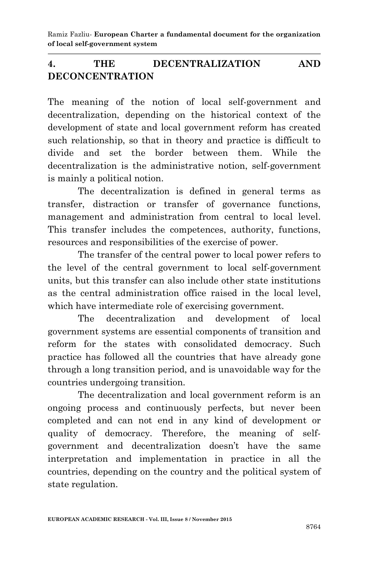# **4. THE DECENTRALIZATION AND DECONCENTRATION**

The meaning of the notion of local self-government and decentralization, depending on the historical context of the development of state and local government reform has created such relationship, so that in theory and practice is difficult to divide and set the border between them. While the decentralization is the administrative notion, self-government is mainly a political notion.

The decentralization is defined in general terms as transfer, distraction or transfer of governance functions, management and administration from central to local level. This transfer includes the competences, authority, functions, resources and responsibilities of the exercise of power.

The transfer of the central power to local power refers to the level of the central government to local self-government units, but this transfer can also include other state institutions as the central administration office raised in the local level, which have intermediate role of exercising government.

The decentralization and development of local government systems are essential components of transition and reform for the states with consolidated democracy. Such practice has followed all the countries that have already gone through a long transition period, and is unavoidable way for the countries undergoing transition.

The decentralization and local government reform is an ongoing process and continuously perfects, but never been completed and can not end in any kind of development or quality of democracy. Therefore, the meaning of selfgovernment and decentralization doesn't have the same interpretation and implementation in practice in all the countries, depending on the country and the political system of state regulation.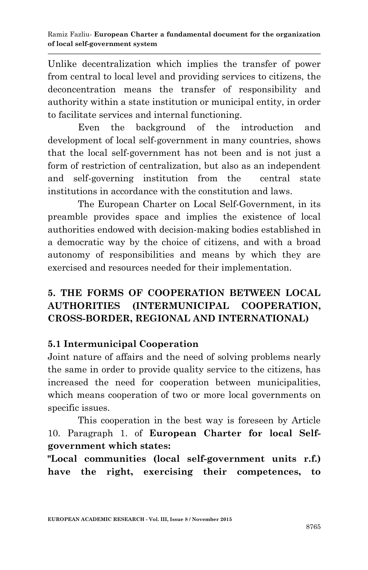Unlike decentralization which implies the transfer of power from central to local level and providing services to citizens, the deconcentration means the transfer of responsibility and authority within a state institution or municipal entity, in order to facilitate services and internal functioning.

Even the background of the introduction and development of local self-government in many countries, shows that the local self-government has not been and is not just a form of restriction of centralization, but also as an independent and self-governing institution from the central state institutions in accordance with the constitution and laws.

The European Charter on Local Self-Government, in its preamble provides space and implies the existence of local authorities endowed with decision-making bodies established in a democratic way by the choice of citizens, and with a broad autonomy of responsibilities and means by which they are exercised and resources needed for their implementation.

# **5. THE FORMS OF COOPERATION BETWEEN LOCAL AUTHORITIES (INTERMUNICIPAL COOPERATION, CROSS-BORDER, REGIONAL AND INTERNATIONAL)**

## **5.1 Intermunicipal Cooperation**

Joint nature of affairs and the need of solving problems nearly the same in order to provide quality service to the citizens, has increased the need for cooperation between municipalities, which means cooperation of two or more local governments on specific issues.

This cooperation in the best way is foreseen by Article 10. Paragraph 1. of **European Charter for local Selfgovernment which states:**

**"Local communities (local self-government units r.f.) have the right, exercising their competences, to**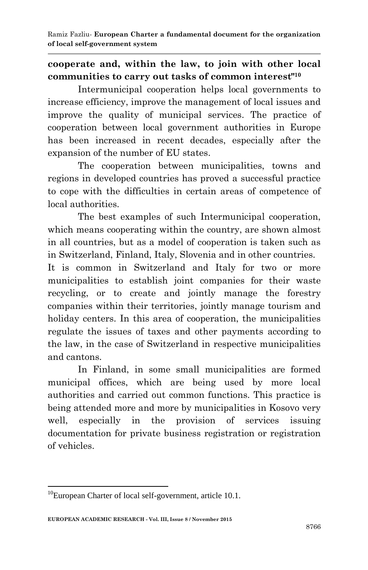# **cooperate and, within the law, to join with other local communities to carry out tasks of common interest"<sup>10</sup>**

Intermunicipal cooperation helps local governments to increase efficiency, improve the management of local issues and improve the quality of municipal services. The practice of cooperation between local government authorities in Europe has been increased in recent decades, especially after the expansion of the number of EU states.

The cooperation between municipalities, towns and regions in developed countries has proved a successful practice to cope with the difficulties in certain areas of competence of local authorities.

The best examples of such Intermunicipal cooperation, which means cooperating within the country, are shown almost in all countries, but as a model of cooperation is taken such as in Switzerland, Finland, Italy, Slovenia and in other countries.

It is common in Switzerland and Italy for two or more municipalities to establish joint companies for their waste recycling, or to create and jointly manage the forestry companies within their territories, jointly manage tourism and holiday centers. In this area of cooperation, the municipalities regulate the issues of taxes and other payments according to the law, in the case of Switzerland in respective municipalities and cantons.

In Finland, in some small municipalities are formed municipal offices, which are being used by more local authorities and carried out common functions. This practice is being attended more and more by municipalities in Kosovo very well, especially in the provision of services issuing documentation for private business registration or registration of vehicles.

**<sup>.</sup>**  $10$ European Charter of local self-government, article 10.1.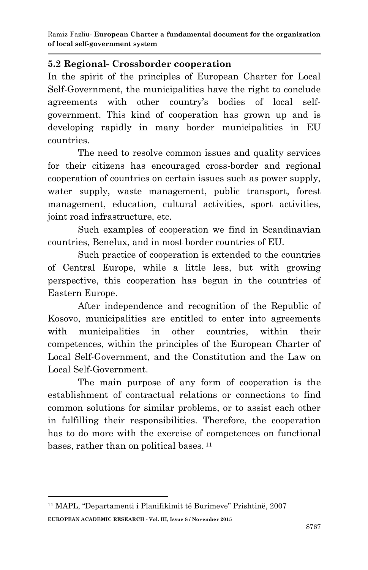### **5.2 Regional- Crossborder cooperation**

In the spirit of the principles of European Charter for Local Self-Government, the municipalities have the right to conclude agreements with other country's bodies of local selfgovernment. This kind of cooperation has grown up and is developing rapidly in many border municipalities in EU countries.

The need to resolve common issues and quality services for their citizens has encouraged cross-border and regional cooperation of countries on certain issues such as power supply, water supply, waste management, public transport, forest management, education, cultural activities, sport activities, joint road infrastructure, etc.

Such examples of cooperation we find in Scandinavian countries, Benelux, and in most border countries of EU.

Such practice of cooperation is extended to the countries of Central Europe, while a little less, but with growing perspective, this cooperation has begun in the countries of Eastern Europe.

After independence and recognition of the Republic of Kosovo, municipalities are entitled to enter into agreements with municipalities in other countries, within their competences, within the principles of the European Charter of Local Self-Government, and the Constitution and the Law on Local Self-Government.

The main purpose of any form of cooperation is the establishment of contractual relations or connections to find common solutions for similar problems, or to assist each other in fulfilling their responsibilities. Therefore, the cooperation has to do more with the exercise of competences on functional bases, rather than on political bases. 11

**EUROPEAN ACADEMIC RESEARCH - Vol. III, Issue 8 / November 2015** <sup>11</sup> MAPL, "Departamenti i Planifikimit të Burimeve" Prishtinë, 2007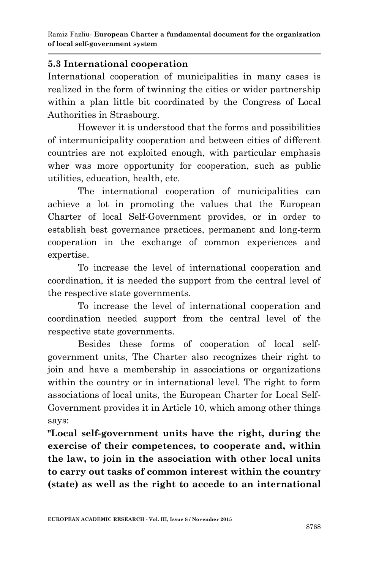### **5.3 International cooperation**

International cooperation of municipalities in many cases is realized in the form of twinning the cities or wider partnership within a plan little bit coordinated by the Congress of Local Authorities in Strasbourg.

However it is understood that the forms and possibilities of intermunicipality cooperation and between cities of different countries are not exploited enough, with particular emphasis wher was more opportunity for cooperation, such as public utilities, education, health, etc.

The international cooperation of municipalities can achieve a lot in promoting the values that the European Charter of local Self-Government provides, or in order to establish best governance practices, permanent and long-term cooperation in the exchange of common experiences and expertise.

To increase the level of international cooperation and coordination, it is needed the support from the central level of the respective state governments.

To increase the level of international cooperation and coordination needed support from the central level of the respective state governments.

Besides these forms of cooperation of local selfgovernment units, The Charter also recognizes their right to join and have a membership in associations or organizations within the country or in international level. The right to form associations of local units, the European Charter for Local Self-Government provides it in Article 10, which among other things says:

**"Local self-government units have the right, during the exercise of their competences, to cooperate and, within the law, to join in the association with other local units to carry out tasks of common interest within the country (state) as well as the right to accede to an international**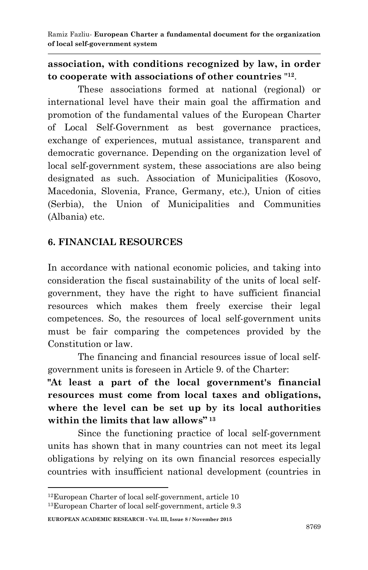Ramiz Fazliu*-* **European Charter a fundamental document for the organization of local self-government system**

#### **association, with conditions recognized by law, in order to cooperate with associations of other countries** " **12** .

These associations formed at national (regional) or international level have their main goal the affirmation and promotion of the fundamental values of the European Charter of Local Self-Government as best governance practices, exchange of experiences, mutual assistance, transparent and democratic governance. Depending on the organization level of local self-government system, these associations are also being designated as such. Association of Municipalities (Kosovo, Macedonia, Slovenia, France, Germany, etc.), Union of cities (Serbia), the Union of Municipalities and Communities (Albania) etc.

#### **6. FINANCIAL RESOURCES**

In accordance with national economic policies, and taking into consideration the fiscal sustainability of the units of local selfgovernment, they have the right to have sufficient financial resources which makes them freely exercise their legal competences. So, the resources of local self-government units must be fair comparing the competences provided by the Constitution or law.

The financing and financial resources issue of local selfgovernment units is foreseen in Article 9. of the Charter:

**"At least a part of the local government's financial resources must come from local taxes and obligations, where the level can be set up by its local authorities within the limits that law allows" <sup>13</sup>**

Since the functioning practice of local self-government units has shown that in many countries can not meet its legal obligations by relying on its own financial resorces especially countries with insufficient national development (countries in

**EUROPEAN ACADEMIC RESEARCH - Vol. III, Issue 8 / November 2015**

<sup>12</sup>European Charter of local self-government, article 10 13European Charter of local self-government, article 9.3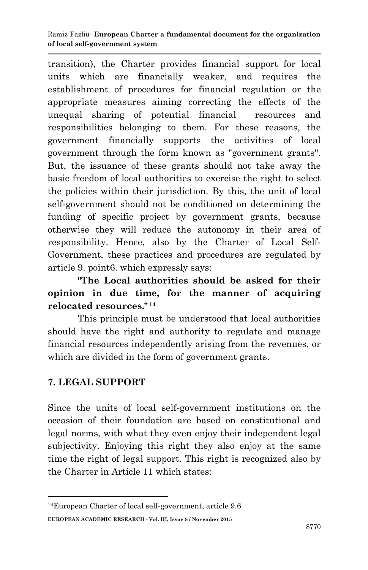transition), the Charter provides financial support for local units which are financially weaker, and requires the establishment of procedures for financial regulation or the appropriate measures aiming correcting the effects of the unequal sharing of potential financial resources and responsibilities belonging to them. For these reasons, the government financially supports the activities of local government through the form known as "government grants". But, the issuance of these grants should not take away the basic freedom of local authorities to exercise the right to select the policies within their jurisdiction. By this, the unit of local self-government should not be conditioned on determining the funding of specific project by government grants, because otherwise they will reduce the autonomy in their area of responsibility. Hence, also by the Charter of Local Self-Government, these practices and procedures are regulated by article 9. point6. which expressly says:

**"The Local authorities should be asked for their opinion in due time, for the manner of acquiring relocated resources." <sup>14</sup>**

This principle must be understood that local authorities should have the right and authority to regulate and manage financial resources independently arising from the revenues, or which are divided in the form of government grants.

# **7. LEGAL SUPPORT**

**.** 

Since the units of local self-government institutions on the occasion of their foundation are based on constitutional and legal norms, with what they even enjoy their independent legal subjectivity. Enjoying this right they also enjoy at the same time the right of legal support. This right is recognized also by the Charter in Article 11 which states:

**EUROPEAN ACADEMIC RESEARCH - Vol. III, Issue 8 / November 2015**

<sup>14</sup>European Charter of local self-government, article 9.6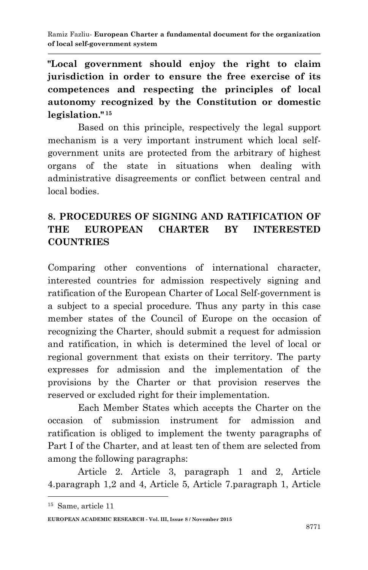**"Local government should enjoy the right to claim jurisdiction in order to ensure the free exercise of its competences and respecting the principles of local autonomy recognized by the Constitution or domestic legislation." <sup>15</sup>**

Based on this principle, respectively the legal support mechanism is a very important instrument which local selfgovernment units are protected from the arbitrary of highest organs of the state in situations when dealing with administrative disagreements or conflict between central and local bodies.

# **8. PROCEDURES OF SIGNING AND RATIFICATION OF THE EUROPEAN CHARTER BY INTERESTED COUNTRIES**

Comparing other conventions of international character, interested countries for admission respectively signing and ratification of the European Charter of Local Self-government is a subject to a special procedure. Thus any party in this case member states of the Council of Europe on the occasion of recognizing the Charter, should submit a request for admission and ratification, in which is determined the level of local or regional government that exists on their territory. The party expresses for admission and the implementation of the provisions by the Charter or that provision reserves the reserved or excluded right for their implementation.

Each Member States which accepts the Charter on the occasion of submission instrument for admission and ratification is obliged to implement the twenty paragraphs of Part I of the Charter, and at least ten of them are selected from among the following paragraphs:

Article 2. Article 3, paragraph 1 and 2, Article 4.paragraph 1,2 and 4, Article 5, Article 7.paragraph 1, Article

<sup>15</sup> Same, article 11

**EUROPEAN ACADEMIC RESEARCH - Vol. III, Issue 8 / November 2015**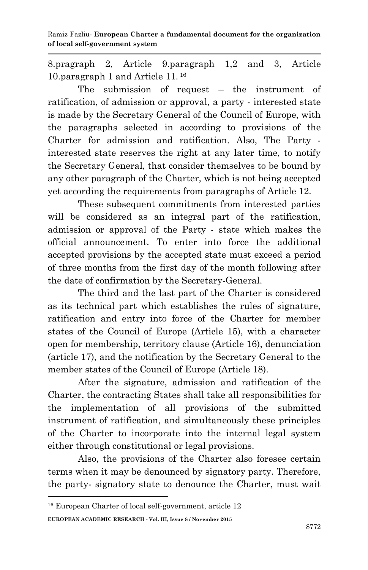8.pragraph 2, Article 9.paragraph 1,2 and 3, Article 10.paragraph 1 and Article 11. <sup>16</sup>

The submission of request – the instrument of ratification, of admission or approval, a party - interested state is made by the Secretary General of the Council of Europe, with the paragraphs selected in according to provisions of the Charter for admission and ratification. Also, The Party interested state reserves the right at any later time, to notify the Secretary General, that consider themselves to be bound by any other paragraph of the Charter, which is not being accepted yet according the requirements from paragraphs of Article 12.

These subsequent commitments from interested parties will be considered as an integral part of the ratification, admission or approval of the Party - state which makes the official announcement. To enter into force the additional accepted provisions by the accepted state must exceed a period of three months from the first day of the month following after the date of confirmation by the Secretary-General.

The third and the last part of the Charter is considered as its technical part which establishes the rules of signature, ratification and entry into force of the Charter for member states of the Council of Europe (Article 15), with a character open for membership, territory clause (Article 16), denunciation (article 17), and the notification by the Secretary General to the member states of the Council of Europe (Article 18).

After the signature, admission and ratification of the Charter, the contracting States shall take all responsibilities for the implementation of all provisions of the submitted instrument of ratification, and simultaneously these principles of the Charter to incorporate into the internal legal system either through constitutional or legal provisions.

Also, the provisions of the Charter also foresee certain terms when it may be denounced by signatory party. Therefore, the party- signatory state to denounce the Charter, must wait

**EUROPEAN ACADEMIC RESEARCH - Vol. III, Issue 8 / November 2015**

<sup>16</sup> European Charter of local self-government, article 12